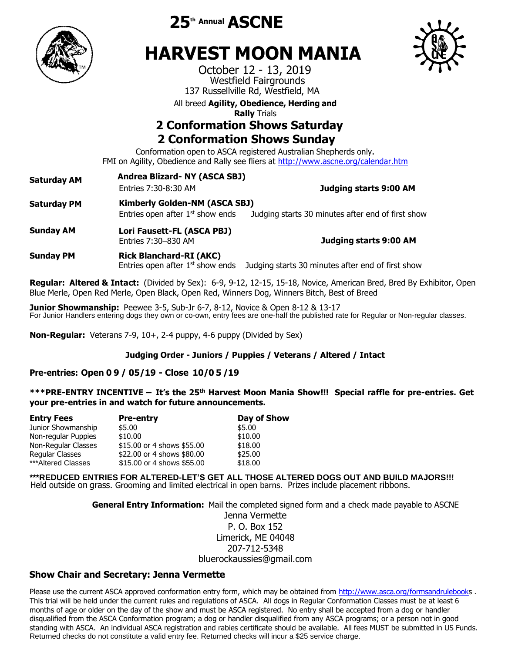

**th Annual ASCNE**

# **HARVEST MOON MANIA**

October 12 - 13, 2019 Westfield Fairgrounds 137 Russellville Rd, Westfield, MA

All breed **Agility, Obedience, Herding and** 

**Rally** Trials

# **2 Conformation Shows Saturday 2 Conformation Shows Sunday**

Conformation open to ASCA registered Australian Shepherds only. FMI on Agility, Obedience and Rally see fliers at <http://www.ascne.org/calendar.htm>

**Saturday AM Andrea Blizard- NY (ASCA SBJ) Rick Blanchard- MA (AKC)** Entries 7:30-8:30 AM **Saturday PM Kimberly Golden-NM (ASCA SBJ) Judging starts 9:00 AM** Entries open after  $1<sup>st</sup>$  show ends Judging starts 30 minutes after end of first show **Sunday AM Lori Fausett-FL (ASCA PBJ)** Entries 7:30–830 AM **Judging starts 9:00 AM Sunday PM Rick Blanchard-RI (AKC)**  Entries open after  $1<sup>st</sup>$  show ends Judging starts 30 minutes after end of first show

**Regular: Altered & Intact:** (Divided by Sex): 6-9, 9-12, 12-15, 15-18, Novice, American Bred, Bred By Exhibitor, Open Blue Merle, Open Red Merle, Open Black, Open Red, Winners Dog, Winners Bitch, Best of Breed

**Junior Showmanship:** Peewee 3-5, Sub-Jr 6-7, 8-12, Novice & Open 8-12 & 13-17 For Junior Handlers entering dogs they own or co-own, entry fees are one-half the published rate for Regular or Non-regular classes.

**Non-Regular:** Veterans 7-9, 10+, 2-4 puppy, 4-6 puppy (Divided by Sex)

## **Judging Order - Juniors / Puppies / Veterans / Altered / Intact**

# **Pre-entries: Open 0 9 / 05/19 - Close 10/0 5 /19**

**\*\*\*PRE-ENTRY INCENTIVE – It's the 25th Harvest Moon Mania Show!!! Special raffle for pre-entries. Get your pre-entries in and watch for future announcements.**

| <b>Entry Fees</b>   | <b>Pre-entry</b>           | Day of Show |  |
|---------------------|----------------------------|-------------|--|
| Junior Showmanship  | \$5.00                     | \$5.00      |  |
| Non-regular Puppies | \$10.00                    | \$10.00     |  |
| Non-Regular Classes | \$15.00 or 4 shows \$55.00 | \$18.00     |  |
| Regular Classes     | \$22.00 or 4 shows \$80.00 | \$25.00     |  |
| ***Altered Classes  | \$15.00 or 4 shows \$55.00 | \$18.00     |  |

**\*\*\*REDUCED ENTRIES FOR ALTERED-LET'S GET ALL THOSE ALTERED DOGS OUT AND BUILD MAJORS!!!**  Held outside on grass. Grooming and limited electrical in open barns. Prizes include placement ribbons.

> **General Entry Information:** Mail the completed signed form and a check made payable to ASCNE Jenna Vermette

P. O. Box 152 Limerick, ME 04048 207-712-5348 bluerockaussies@gmail.com

# **Show Chair and Secretary: Jenna Vermette**

Please use the current ASCA approved conformation entry form, which may be obtained from [http://www.asca.org/formsandrulebooks](http://www.asca.org/formsandrulebook). This trial will be held under the current rules and regulations of ASCA. All dogs in Regular Conformation Classes must be at least 6 months of age or older on the day of the show and must be ASCA registered. No entry shall be accepted from a dog or handler disqualified from the ASCA Conformation program; a dog or handler disqualified from any ASCA programs; or a person not in good standing with ASCA. An individual ASCA registration and rabies certificate should be available. All fees MUST be submitted in US Funds. Returned checks do not constitute a valid entry fee. Returned checks will incur a \$25 service charge.

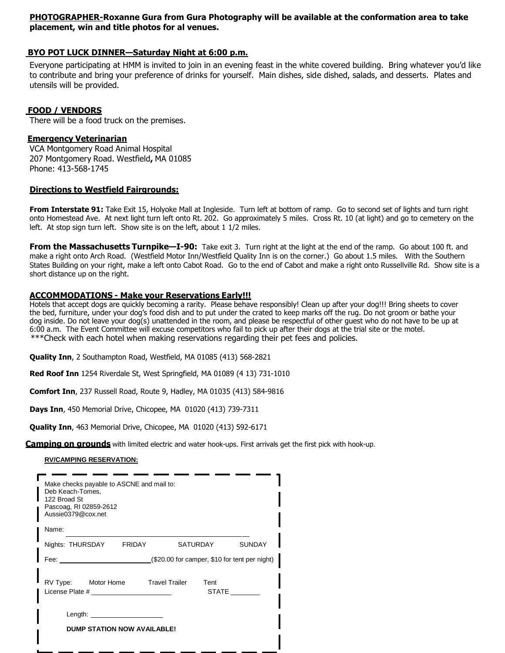## **PHOTOGRAPHER-Roxanne Gura from Gura Photography will be available at the conformation area to take placement, win and title photos for al venues.**

#### **BYO POT LUCK DINNER—Saturday Night at 6:00 p.m.**

Everyone participating at HMM is invited to join in an evening feast in the white covered building. Bring whatever you'd like to contribute and bring your preference of drinks for yourself. Main dishes, side dished, salads, and desserts. Plates and utensils will be provided.

#### **FOOD / VENDORS**

There will be a food truck on the premises.

#### **Emergency Veterinarian**

VCA Montgomery Road Animal Hospital 207 Montgomery Road. Westfield**,** MA 01085 Phone: 413-568-1745

#### **Directions to Westfield Fairgrounds:**

**From Interstate 91:** Take Exit 15, Holyoke Mall at Ingleside. Turn left at bottom of ramp. Go to second set of lights and turn right onto Homestead Ave. At next light turn left onto Rt. 202. Go approximately 5 miles. Cross Rt. 10 (at light) and go to cemetery on the left. At stop sign turn left. Show site is on the left, about 1 1/2 miles.

**From the Massachusetts Turnpike—I-90:** Take exit 3. Turn right at the light at the end of the ramp. Go about 100 ft. and make a right onto Arch Road. (Westfield Motor Inn/Westfield Quality Inn is on the corner.) Go about 1.5 miles. With the Southern States Building on your right, make a left onto Cabot Road. Go to the end of Cabot and make a right onto Russellville Rd. Show site is a short distance up on the right.

#### **ACCOMMODATIONS - Make your Reservations Early!!!**

Hotels that accept dogs are quickly becoming a rarity. Please behave responsibly! Clean up after your dog!!! Bring sheets to cover the bed, furniture, under your dog's food dish and to put under the crated to keep marks off the rug. Do not groom or bathe your dog inside. Do not leave your dog(s) unattended in the room, and please be respectful of other guest who do not have to be up at 6:00 a.m. The Event Committee will excuse competitors who fail to pick up after their dogs at the trial site or the motel. \*\*\*Check with each hotel when making reservations regarding their pet fees and policies.

**Quality Inn**, 2 Southampton Road, Westfield, MA 01085 (413) 568-2821

**Red Roof Inn** 1254 Riverdale St, West Springfield, MA 01089 (4 13) 731-1010

**Comfort Inn**, 237 Russell Road, Route 9, Hadley, MA 01035 (413) 584-9816

**Days Inn**, 450 Memorial Drive, Chicopee, MA 01020 (413) 739-7311

**Quality Inn**, 463 Memorial Drive, Chicopee, MA 01020 (413) 592-6171

**Camping on grounds** with limited electric and water hook-ups. First arrivals get the first pick with hook-up.

#### **RV/CAMPING RESERVATION:**

| Make checks payable to ASCNE and mail to:<br>Deb Keach-Tomes,<br>122 Broad St<br>Pascoag, RI 02859-2612<br>Aussie0379@cox.net                                                                                                                                        |               |               |
|----------------------------------------------------------------------------------------------------------------------------------------------------------------------------------------------------------------------------------------------------------------------|---------------|---------------|
| Name:                                                                                                                                                                                                                                                                |               |               |
| Nights: THURSDAY FRIDAY                                                                                                                                                                                                                                              | SATURDAY      | <b>SUNDAY</b> |
| Fee: $(\$20.00$ for camper, \$10 for tent per night)                                                                                                                                                                                                                 |               |               |
| RV Type: Motor Home Travel Trailer<br>License Plate # 2009 and 2009 and 2009 and 2009 and 2009 and 2009 and 2009 and 2009 and 2009 and 2009 and 2009                                                                                                                 | Tent<br>STATE |               |
| Length: the contract of the contract of the contract of the contract of the contract of the contract of the contract of the contract of the contract of the contract of the contract of the contract of the contract of the co<br><b>DUMP STATION NOW AVAILABLE!</b> |               |               |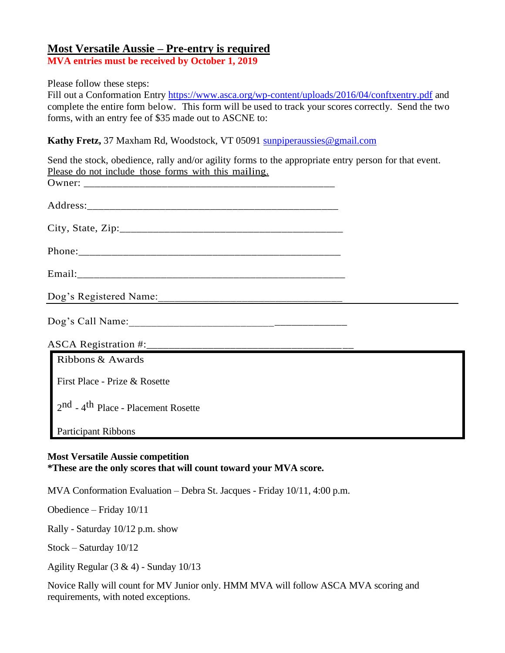# **Most Versatile Aussie – Pre-entry is required**

**MVA entries must be received by October 1, 2019** 

Please follow these steps:

Fill out a Conformation Entry<https://www.asca.org/wp-content/uploads/2016/04/conftxentry.pdf> and complete the entire form below. This form will be used to track your scores correctly. Send the two forms, with an entry fee of \$35 made out to ASCNE to:

**Kathy Fretz,** 37 Maxham Rd, Woodstock, VT 05091 [sunpiperaussies@gmail.com](mailto:sunpiperaussies@gmail.com)

| Send the stock, obedience, rally and/or agility forms to the appropriate entry person for that event.<br>Please do not include those forms with this mailing. |  |
|---------------------------------------------------------------------------------------------------------------------------------------------------------------|--|
|                                                                                                                                                               |  |
|                                                                                                                                                               |  |
|                                                                                                                                                               |  |
|                                                                                                                                                               |  |
|                                                                                                                                                               |  |
|                                                                                                                                                               |  |
|                                                                                                                                                               |  |
| ASCA Registration #:                                                                                                                                          |  |
| Ribbons & Awards                                                                                                                                              |  |
| First Place - Prize & Rosette                                                                                                                                 |  |
| 2nd - 4 <sup>th</sup> Place - Placement Rosette                                                                                                               |  |
| <b>Participant Ribbons</b>                                                                                                                                    |  |
|                                                                                                                                                               |  |

## **Most Versatile Aussie competition \*These are the only scores that will count toward your MVA score.**

MVA Conformation Evaluation – Debra St. Jacques - Friday 10/11, 4:00 p.m.

Obedience – Friday 10/11

Rally - Saturday 10/12 p.m. show

Stock – Saturday 10/12

Agility Regular (3 & 4) - Sunday 10/13

Novice Rally will count for MV Junior only. HMM MVA will follow ASCA MVA scoring and requirements, with noted exceptions.